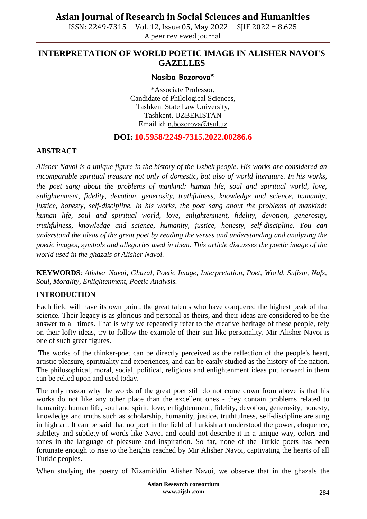ISSN: 2249-7315 Vol. 12, Issue 05, May 2022 SJIF 2022 = 8.625 A peer reviewed journal

## **INTERPRETATION OF WORLD POETIC IMAGE IN ALISHER NAVOI'S GAZELLES**

### **Nasiba Bozorova\***

\*Associate Professor, Candidate of Philological Sciences, Tashkent State Law University, Tashkent, UZBEKISTAN Email id: [n.bozorova@tsul.uz](mailto:n.bozorova@tsul.uz)

### **DOI: 10.5958/2249-7315.2022.00286.6**

#### **ABSTRACT**

*Alisher Navoi is a unique figure in the history of the Uzbek people. His works are considered an incomparable spiritual treasure not only of domestic, but also of world literature. In his works, the poet sang about the problems of mankind: human life, soul and spiritual world, love, enlightenment, fidelity, devotion, generosity, truthfulness, knowledge and science, humanity, justice, honesty, self-discipline. In his works, the poet sang about the problems of mankind: human life, soul and spiritual world, love, enlightenment, fidelity, devotion, generosity, truthfulness, knowledge and science, humanity, justice, honesty, self-discipline. You can understand the ideas of the great poet by reading the verses and understanding and analyzing the poetic images, symbols and allegories used in them. This article discusses the poetic image of the world used in the ghazals of Alisher Navoi.*

**KEYWORDS**: *Alisher Navoi, Ghazal, Poetic Image, Interpretation, Poet, World, Sufism, Nafs, Soul, Morality, Enlightenment, Poetic Analysis.*

#### **INTRODUCTION**

Each field will have its own point, the great talents who have conquered the highest peak of that science. Their legacy is as glorious and personal as theirs, and their ideas are considered to be the answer to all times. That is why we repeatedly refer to the creative heritage of these people, rely on their lofty ideas, try to follow the example of their sun-like personality. Mir Alisher Navoi is one of such great figures.

The works of the thinker-poet can be directly perceived as the reflection of the people's heart, artistic pleasure, spirituality and experiences, and can be easily studied as the history of the nation. The philosophical, moral, social, political, religious and enlightenment ideas put forward in them can be relied upon and used today.

The only reason why the words of the great poet still do not come down from above is that his works do not like any other place than the excellent ones - they contain problems related to humanity: human life, soul and spirit, love, enlightenment, fidelity, devotion, generosity, honesty, knowledge and truths such as scholarship, humanity, justice, truthfulness, self-discipline are sung in high art. It can be said that no poet in the field of Turkish art understood the power, eloquence, subtlety and subtlety of words like Navoi and could not describe it in a unique way, colors and tones in the language of pleasure and inspiration. So far, none of the Turkic poets has been fortunate enough to rise to the heights reached by Mir Alisher Navoi, captivating the hearts of all Turkic peoples.

When studying the poetry of Nizamiddin Alisher Navoi, we observe that in the ghazals the

**Asian Research consortium www.aijsh .com**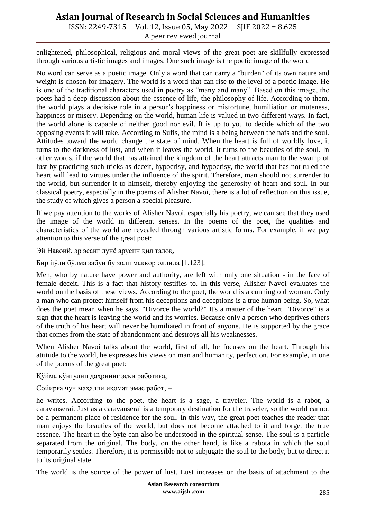ISSN: 2249-7315 Vol. 12, Issue 05, May 2022 SJIF 2022 = 8.625 A peer reviewed journal

enlightened, philosophical, religious and moral views of the great poet are skillfully expressed through various artistic images and images. One such image is the poetic image of the world

No word can serve as a poetic image. Only a word that can carry a "burden" of its own nature and weight is chosen for imagery. The world is a word that can rise to the level of a poetic image. He is one of the traditional characters used in poetry as "many and many". Based on this image, the poets had a deep discussion about the essence of life, the philosophy of life. According to them, the world plays a decisive role in a person's happiness or misfortune, humiliation or muteness, happiness or misery. Depending on the world, human life is valued in two different ways. In fact, the world alone is capable of neither good nor evil. It is up to you to decide which of the two opposing events it will take. According to Sufis, the mind is a being between the nafs and the soul. Attitudes toward the world change the state of mind. When the heart is full of worldly love, it turns to the darkness of lust, and when it leaves the world, it turns to the beauties of the soul. In other words, if the world that has attained the kingdom of the heart attracts man to the swamp of lust by practicing such tricks as deceit, hypocrisy, and hypocrisy, the world that has not ruled the heart will lead to virtues under the influence of the spirit. Therefore, man should not surrender to the world, but surrender it to himself, thereby enjoying the generosity of heart and soul. In our classical poetry, especially in the poems of Alisher Navoi, there is a lot of reflection on this issue, the study of which gives a person a special pleasure.

If we pay attention to the works of Alisher Navoi, especially his poetry, we can see that they used the image of the world in different senses. In the poems of the poet, the qualities and characteristics of the world are revealed through various artistic forms. For example, if we pay attention to this verse of the great poet:

Эй Навоий, эр эсанг дунё арусин қил талоқ,

Бир йўли бўлма забун бу золи маккор оллида [1.123].

Men, who by nature have power and authority, are left with only one situation - in the face of female deceit. This is a fact that history testifies to. In this verse, Alisher Navoi evaluates the world on the basis of these views. According to the poet, the world is a cunning old woman. Only a man who can protect himself from his deceptions and deceptions is a true human being. So, what does the poet mean when he says, "Divorce the world?" It's a matter of the heart. "Divorce" is a sign that the heart is leaving the world and its worries. Because only a person who deprives others of the truth of his heart will never be humiliated in front of anyone. He is supported by the grace that comes from the state of abandonment and destroys all his weaknesses.

When Alisher Navoi talks about the world, first of all, he focuses on the heart. Through his attitude to the world, he expresses his views on man and humanity, perfection. For example, in one of the poems of the great poet:

Қўйма кўнгулни даҳрнинг эски работиға,

Сойирға чун маҳалли иқомат эмас работ, –

he writes. According to the poet, the heart is a sage, a traveler. The world is a rabot, a caravanserai. Just as a caravanserai is a temporary destination for the traveler, so the world cannot be a permanent place of residence for the soul. In this way, the great poet teaches the reader that man enjoys the beauties of the world, but does not become attached to it and forget the true essence. The heart in the byte can also be understood in the spiritual sense. The soul is a particle separated from the original. The body, on the other hand, is like a rabota in which the soul temporarily settles. Therefore, it is permissible not to subjugate the soul to the body, but to direct it to its original state.

The world is the source of the power of lust. Lust increases on the basis of attachment to the

**Asian Research consortium www.aijsh .com**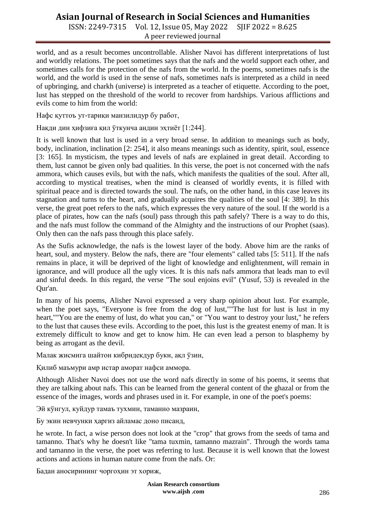ISSN: 2249-7315 Vol. 12, Issue 05, May 2022 SJIF 2022 = 8.625 A peer reviewed journal

world, and as a result becomes uncontrollable. Alisher Navoi has different interpretations of lust and worldly relations. The poet sometimes says that the nafs and the world support each other, and sometimes calls for the protection of the nafs from the world. In the poems, sometimes nafs is the world, and the world is used in the sense of nafs, sometimes nafs is interpreted as a child in need of upbringing, and charkh (universe) is interpreted as a teacher of etiquette. According to the poet, lust has stepped on the threshold of the world to recover from hardships. Various afflictions and evils come to him from the world:

Нафс қуттоъ ут-тариқи манзилидур бу работ,

Нақди дин ҳифзиға қил ўткунча андин эҳтиёт [1:244].

It is well known that lust is used in a very broad sense. In addition to meanings such as body, body, inclination, inclination [2: 254], it also means meanings such as identity, spirit, soul, essence [3: 165]. In mysticism, the types and levels of nafs are explained in great detail. According to them, lust cannot be given only bad qualities. In this verse, the poet is not concerned with the nafs ammora, which causes evils, but with the nafs, which manifests the qualities of the soul. After all, according to mystical treatises, when the mind is cleansed of worldly events, it is filled with spiritual peace and is directed towards the soul. The nafs, on the other hand, in this case leaves its stagnation and turns to the heart, and gradually acquires the qualities of the soul [4: 389]. In this verse, the great poet refers to the nafs, which expresses the very nature of the soul. If the world is a place of pirates, how can the nafs (soul) pass through this path safely? There is a way to do this, and the nafs must follow the command of the Almighty and the instructions of our Prophet (saas). Only then can the nafs pass through this place safely.

As the Sufis acknowledge, the nafs is the lowest layer of the body. Above him are the ranks of heart, soul, and mystery. Below the nafs, there are "four elements" called tabs [5: 511]. If the nafs remains in place, it will be deprived of the light of knowledge and enlightenment, will remain in ignorance, and will produce all the ugly vices. It is this nafs nafs ammora that leads man to evil and sinful deeds. In this regard, the verse "The soul enjoins evil" (Yusuf, 53) is revealed in the Qur'an.

In many of his poems, Alisher Navoi expressed a very sharp opinion about lust. For example, when the poet says, "Everyone is free from the dog of lust,""The lust for lust is lust in my heart,""You are the enemy of lust, do what you can," or "You want to destroy your lust," he refers to the lust that causes these evils. According to the poet, this lust is the greatest enemy of man. It is extremely difficult to know and get to know him. He can even lead a person to blasphemy by being as arrogant as the devil.

Малак жисмига шайтон кибридекдур буки, ақл ўзин,

Қилиб маъмури амр истар аморат нафси аммора.

Although Alisher Navoi does not use the word nafs directly in some of his poems, it seems that they are talking about nafs. This can be learned from the general content of the ghazal or from the essence of the images, words and phrases used in it. For example, in one of the poet's poems:

Эй кўнгул, куйдур тамаъ тухмин, таманно мазраин,

Бу экин невчунки ҳаргиз айламас доно писанд,

he wrote. In fact, a wise person does not look at the "crop" that grows from the seeds of tama and tamanno. That's why he doesn't like "tama tuxmin, tamanno mazrain". Through the words tama and tamanno in the verse, the poet was referring to lust. Because it is well known that the lowest actions and actions in human nature come from the nafs. Or:

Бадан аносирининг чоргоҳин эт хориж,

**Asian Research consortium www.aijsh .com**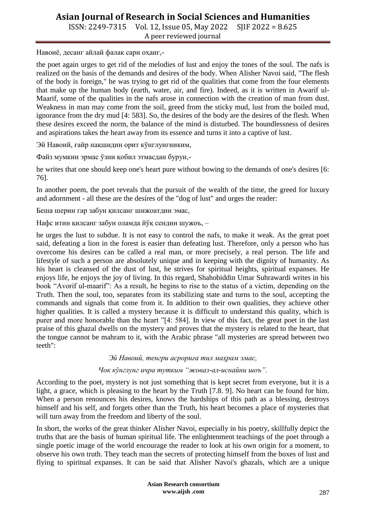ISSN: 2249-7315 Vol. 12, Issue 05, May 2022 SJIF 2022 = 8.625 A peer reviewed journal

Навоиё, десанг айлай фалак сари оҳанг,-

the poet again urges to get rid of the melodies of lust and enjoy the tones of the soul. The nafs is realized on the basis of the demands and desires of the body. When Alisher Navoi said, "The flesh of the body is foreign," he was trying to get rid of the qualities that come from the four elements that make up the human body (earth, water, air, and fire). Indeed, as it is written in Awarif ul-Maarif, some of the qualities in the nafs arose in connection with the creation of man from dust. Weakness in man may come from the soil, greed from the sticky mud, lust from the boiled mud, ignorance from the dry mud [4: 583]. So, the desires of the body are the desires of the flesh. When these desires exceed the norm, the balance of the mind is disturbed. The boundlessness of desires and aspirations takes the heart away from its essence and turns it into a captive of lust.

Эй Навоий, ғайр нақшидин орит кўнглунгниким,

Файз мумкин эрмас ўзни қобил этмасдан бурун,-

he writes that one should keep one's heart pure without bowing to the demands of one's desires [6: 76].

In another poem, the poet reveals that the pursuit of the wealth of the time, the greed for luxury and adornment - all these are the desires of the "dog of lust" and urges the reader:

Беша шерин гар забун қилсанг шижоатдин эмас,

Нафс итин қилсанг забун оламда йўқ сендин шужоъ, –

he urges the lust to subdue. It is not easy to control the nafs, to make it weak. As the great poet said, defeating a lion in the forest is easier than defeating lust. Therefore, only a person who has overcome his desires can be called a real man, or more precisely, a real person. The life and lifestyle of such a person are absolutely unique and in keeping with the dignity of humanity. As his heart is cleansed of the dust of lust, he strives for spiritual heights, spiritual expanses. He enjoys life, he enjoys the joy of living. In this regard, Shahobiddin Umar Suhrawardi writes in his book "Avorif ul-maarif": As a result, he begins to rise to the status of a victim, depending on the Truth. Then the soul, too, separates from its stabilizing state and turns to the soul, accepting the commands and signals that come from it. In addition to their own qualities, they achieve other higher qualities. It is called a mystery because it is difficult to understand this quality, which is purer and more honorable than the heart "[4: 584]. In view of this fact, the great poet in the last praise of this ghazal dwells on the mystery and proves that the mystery is related to the heart, that the tongue cannot be mahram to it, with the Arabic phrase "all mysteries are spread between two teeth":

*Эй Навоий, тенгри асрориға тил маҳрам эмас,*

#### *Чок кўнглунг ичра тутким "жоваз-ал-иснайни шоъ".*

According to the poet, mystery is not just something that is kept secret from everyone, but it is a light, a grace, which is pleasing to the heart by the Truth [7.8. 9]. No heart can be found for him. When a person renounces his desires, knows the hardships of this path as a blessing, destroys himself and his self, and forgets other than the Truth, his heart becomes a place of mysteries that will turn away from the freedom and liberty of the soul.

In short, the works of the great thinker Alisher Navoi, especially in his poetry, skillfully depict the truths that are the basis of human spiritual life. The enlightenment teachings of the poet through a single poetic image of the world encourage the reader to look at his own origin for a moment, to observe his own truth. They teach man the secrets of protecting himself from the boxes of lust and flying to spiritual expanses. It can be said that Alisher Navoi's ghazals, which are a unique